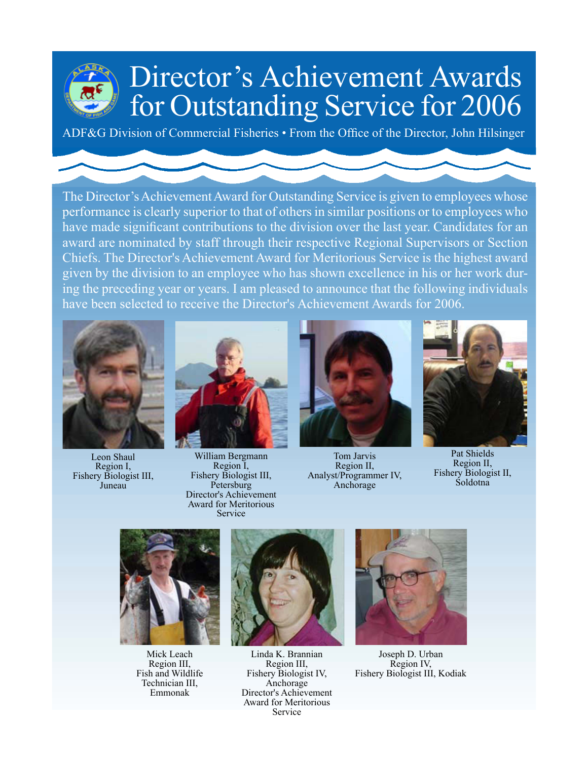## for Outstanding Service for 2006 Director's Achievement Awards

ADF&G Division of Commercial Fisheries • From the Office of the Director, John Hilsinger

 The Director's Achievement Award for Outstanding Service is given to employees whose performance is clearly superior to that of others in similar positions or to employees who have made significant contributions to the division over the last year. Candidates for an award are nominated by staff through their respective Regional Supervisors or Section Chiefs. The Director's Achievement Award for Meritorious Service is the highest award given by the division to an employee who has shown excellence in his or her work during the preceding year or years. I am pleased to announce that the following individuals have been selected to receive the Director's Achievement Awards for 2006.



Leon Shaul Region I, Fishery Biologist III, Juneau



William Bergmann Region I, Fishery Biologist III, **Petersburg** Director's Achievement Award for Meritorious Service



Tom Jarvis Region II, Analyst/Programmer IV, Anchorage



Pat Shields Region II, Fishery Biologist II, Soldotna



Mick Leach Region III, Fish and Wildlife Technician III, Emmonak



Linda K. Brannian Region III, Fishery Biologist IV, Anchorage Director's Achievement Award for Meritorious Service



Joseph D. Urban Region IV, Fishery Biologist III, Kodiak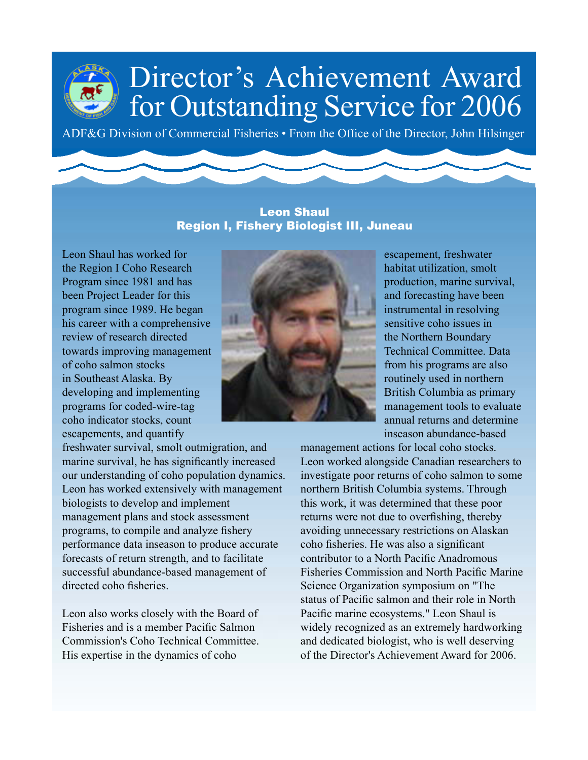ADF&G Division of Commercial Fisheries • From the Office of the Director, John Hilsinger

### Leon Shaul Region I, Fishery Biologist III, Juneau

Leon Shaul has worked for the Region I Coho Research Program since 1981 and has been Project Leader for this program since 1989. He began his career with a comprehensive review of research directed towards improving management of coho salmon stocks in Southeast Alaska. By developing and implementing programs for coded-wire-tag coho indicator stocks, count escapements, and quantify

freshwater survival, smolt outmigration, and marine survival, he has significantly increased our understanding of coho population dynamics. Leon has worked extensively with management biologists to develop and implement management plans and stock assessment programs, to compile and analyze fishery performance data inseason to produce accurate forecasts of return strength, and to facilitate successful abundance-based management of directed coho fisheries.

Leon also works closely with the Board of Fisheries and is a member Pacific Salmon Commission's Coho Technical Committee. His expertise in the dynamics of coho



escapement, freshwater habitat utilization, smolt production, marine survival, and forecasting have been instrumental in resolving sensitive coho issues in the Northern Boundary Technical Committee. Data from his programs are also routinely used in northern British Columbia as primary management tools to evaluate annual returns and determine inseason abundance-based

management actions for local coho stocks. Leon worked alongside Canadian researchers to investigate poor returns of coho salmon to some northern British Columbia systems. Through this work, it was determined that these poor returns were not due to overfishing, thereby avoiding unnecessary restrictions on Alaskan coho fisheries. He was also a significant contributor to a North Pacific Anadromous Fisheries Commission and North Pacific Marine Science Organization symposium on "The status of Pacific salmon and their role in North Pacific marine ecosystems." Leon Shaul is widely recognized as an extremely hardworking and dedicated biologist, who is well deserving of the Director's Achievement Award for 2006.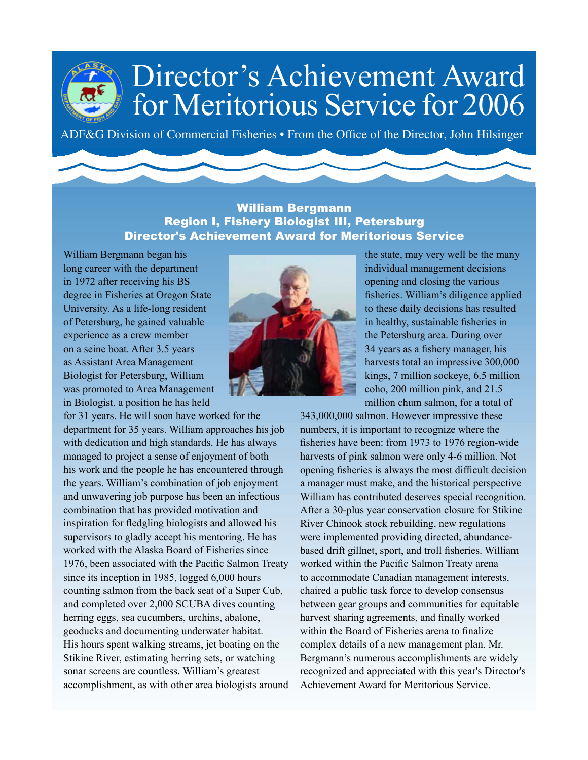### Director's Achievement Award for Meritorious Service for 2006

ADF&G Division of Commercial Fisheries • From the Office of the Director, John Hilsinger

#### William Bergmann Region I, Fishery Biologist III, Petersburg Director's Achievement Award for Meritorious Service

William Bergmann began his long career with the department in 1972 after receiving his BS degree in Fisheries at Oregon State University. As a life-long resident of Petersburg, he gained valuable experience as a crew member on a seine boat. After 3.5 years as Assistant Area Management Biologist for Petersburg, William was promoted to Area Management in Biologist, a position he has held

for 31 years. He will soon have worked for the department for 35 years. William approaches his job with dedication and high standards. He has always managed to project a sense of enjoyment of both his work and the people he has encountered through the years. William's combination of job enjoyment and unwavering job purpose has been an infectious combination that has provided motivation and inspiration for fledgling biologists and allowed his supervisors to gladly accept his mentoring. He has worked with the Alaska Board of Fisheries since 1976, been associated with the Pacific Salmon Treaty since its inception in 1985, logged 6,000 hours counting salmon from the back seat of a Super Cub, and completed over 2,000 SCUBA dives counting herring eggs, sea cucumbers, urchins, abalone, geoducks and documenting underwater habitat. His hours spent walking streams, jet boating on the Stikine River, estimating herring sets, or watching sonar screens are countless. William's greatest accomplishment, as with other area biologists around



the state, may very well be the many individual management decisions opening and closing the various fisheries. William's diligence applied to these daily decisions has resulted in healthy, sustainable fisheries in the Petersburg area. During over 34 years as a fishery manager, his harvests total an impressive 300,000 kings, 7 million sockeye, 6.5 million coho, 200 million pink, and 21.5 million chum salmon, for a total of

343,000,000 salmon. However impressive these numbers, it is important to recognize where the fisheries have been: from 1973 to 1976 region-wide harvests of pink salmon were only 4-6 million. Not opening fisheries is always the most difficult decision a manager must make, and the historical perspective William has contributed deserves special recognition. After a 30-plus year conservation closure for Stikine River Chinook stock rebuilding, new regulations were implemented providing directed, abundancebased drift gillnet, sport, and troll fisheries. William worked within the Pacific Salmon Treaty arena to accommodate Canadian management interests, chaired a public task force to develop consensus between gear groups and communities for equitable harvest sharing agreements, and finally worked within the Board of Fisheries arena to finalize complex details of a new management plan. Mr. Bergmann's numerous accomplishments are widely recognized and appreciated with this year's Director's Achievement Award for Meritorious Service.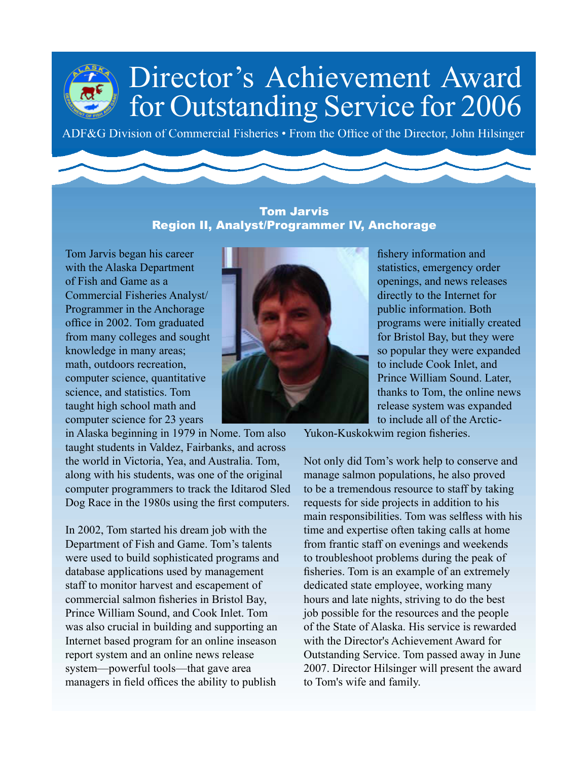ADF&G Division of Commercial Fisheries • From the Office of the Director, John Hilsinger

### Tom Jarvis Region II, Analyst/Programmer IV, Anchorage

Tom Jarvis began his career with the Alaska Department of Fish and Game as a Commercial Fisheries Analyst/ Programmer in the Anchorage office in 2002. Tom graduated from many colleges and sought knowledge in many areas; math, outdoors recreation, computer science, quantitative science, and statistics. Tom taught high school math and computer science for 23 years

in Alaska beginning in 1979 in Nome. Tom also taught students in Valdez, Fairbanks, and across the world in Victoria, Yea, and Australia. Tom, along with his students, was one of the original computer programmers to track the Iditarod Sled Dog Race in the 1980s using the first computers.

In 2002, Tom started his dream job with the Department of Fish and Game. Tom's talents were used to build sophisticated programs and database applications used by management staff to monitor harvest and escapement of commercial salmon fisheries in Bristol Bay, Prince William Sound, and Cook Inlet. Tom was also crucial in building and supporting an Internet based program for an online inseason report system and an online news release system—powerful tools—that gave area managers in field offices the ability to publish



fishery information and statistics, emergency order openings, and news releases directly to the Internet for public information. Both programs were initially created for Bristol Bay, but they were so popular they were expanded to include Cook Inlet, and Prince William Sound. Later, thanks to Tom, the online news release system was expanded to include all of the Arctic-

Yukon-Kuskokwim region fisheries.

Not only did Tom's work help to conserve and manage salmon populations, he also proved to be a tremendous resource to staff by taking requests for side projects in addition to his main responsibilities. Tom was selfless with his time and expertise often taking calls at home from frantic staff on evenings and weekends to troubleshoot problems during the peak of fisheries. Tom is an example of an extremely dedicated state employee, working many hours and late nights, striving to do the best job possible for the resources and the people of the State of Alaska. His service is rewarded with the Director's Achievement Award for Outstanding Service. Tom passed away in June 2007. Director Hilsinger will present the award to Tom's wife and family.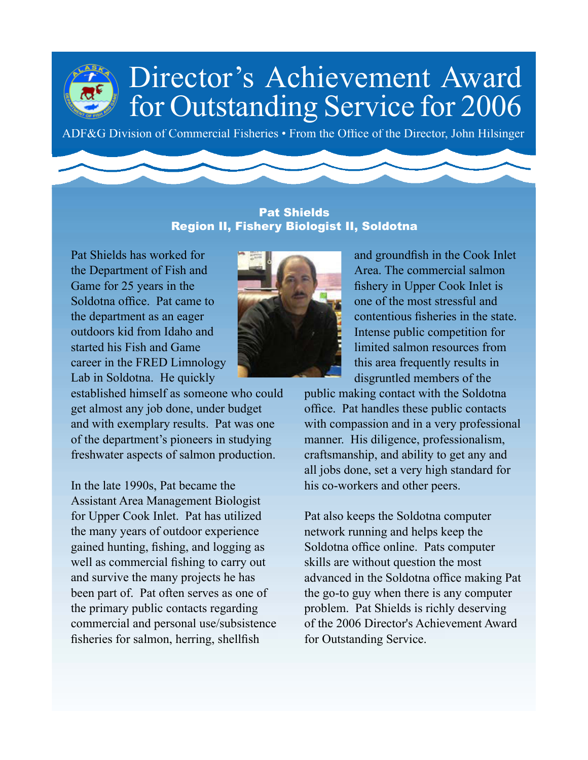ADF&G Division of Commercial Fisheries • From the Office of the Director, John Hilsinger

### Pat Shields Region II, Fishery Biologist II, Soldotna

Pat Shields has worked for the Department of Fish and Game for 25 years in the Soldotna office. Pat came to the department as an eager outdoors kid from Idaho and started his Fish and Game career in the FRED Limnology Lab in Soldotna. He quickly

established himself as someone who could get almost any job done, under budget and with exemplary results. Pat was one of the department's pioneers in studying freshwater aspects of salmon production.

In the late 1990s, Pat became the Assistant Area Management Biologist for Upper Cook Inlet. Pat has utilized the many years of outdoor experience gained hunting, fishing, and logging as well as commercial fishing to carry out and survive the many projects he has been part of. Pat often serves as one of the primary public contacts regarding commercial and personal use/subsistence fisheries for salmon, herring, shellfish



and groundfish in the Cook Inlet Area. The commercial salmon fishery in Upper Cook Inlet is one of the most stressful and contentious fisheries in the state. Intense public competition for limited salmon resources from this area frequently results in disgruntled members of the

public making contact with the Soldotna office. Pat handles these public contacts with compassion and in a very professional manner. His diligence, professionalism, craftsmanship, and ability to get any and all jobs done, set a very high standard for his co-workers and other peers.

Pat also keeps the Soldotna computer network running and helps keep the Soldotna office online. Pats computer skills are without question the most advanced in the Soldotna office making Pat the go-to guy when there is any computer problem. Pat Shields is richly deserving of the 2006 Director's Achievement Award for Outstanding Service.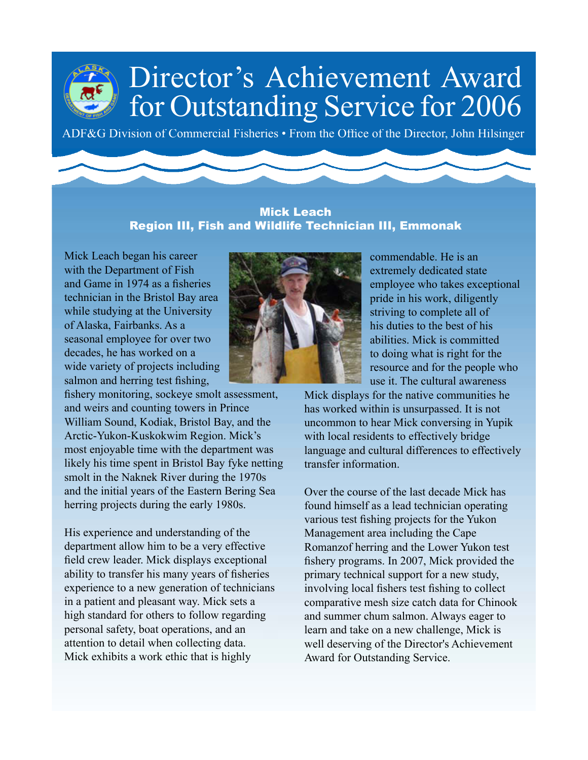ADF&G Division of Commercial Fisheries • From the Office of the Director, John Hilsinger

#### Mick Leach Region III, Fish and Wildlife Technician III, Emmonak

Mick Leach began his career with the Department of Fish and Game in 1974 as a fisheries technician in the Bristol Bay area while studying at the University of Alaska, Fairbanks. As a seasonal employee for over two decades, he has worked on a wide variety of projects including salmon and herring test fishing,

fishery monitoring, sockeye smolt assessment, and weirs and counting towers in Prince William Sound, Kodiak, Bristol Bay, and the Arctic-Yukon-Kuskokwim Region. Mick's most enjoyable time with the department was likely his time spent in Bristol Bay fyke netting smolt in the Naknek River during the 1970s and the initial years of the Eastern Bering Sea herring projects during the early 1980s.

His experience and understanding of the department allow him to be a very effective field crew leader. Mick displays exceptional ability to transfer his many years of fisheries experience to a new generation of technicians in a patient and pleasant way. Mick sets a high standard for others to follow regarding personal safety, boat operations, and an attention to detail when collecting data. Mick exhibits a work ethic that is highly



commendable. He is an extremely dedicated state employee who takes exceptional pride in his work, diligently striving to complete all of his duties to the best of his abilities. Mick is committed to doing what is right for the resource and for the people who use it. The cultural awareness

Mick displays for the native communities he has worked within is unsurpassed. It is not uncommon to hear Mick conversing in Yupik with local residents to effectively bridge language and cultural differences to effectively transfer information.

Over the course of the last decade Mick has found himself as a lead technician operating various test fishing projects for the Yukon Management area including the Cape Romanzof herring and the Lower Yukon test fishery programs. In 2007, Mick provided the primary technical support for a new study, involving local fishers test fishing to collect comparative mesh size catch data for Chinook and summer chum salmon. Always eager to learn and take on a new challenge, Mick is well deserving of the Director's Achievement Award for Outstanding Service.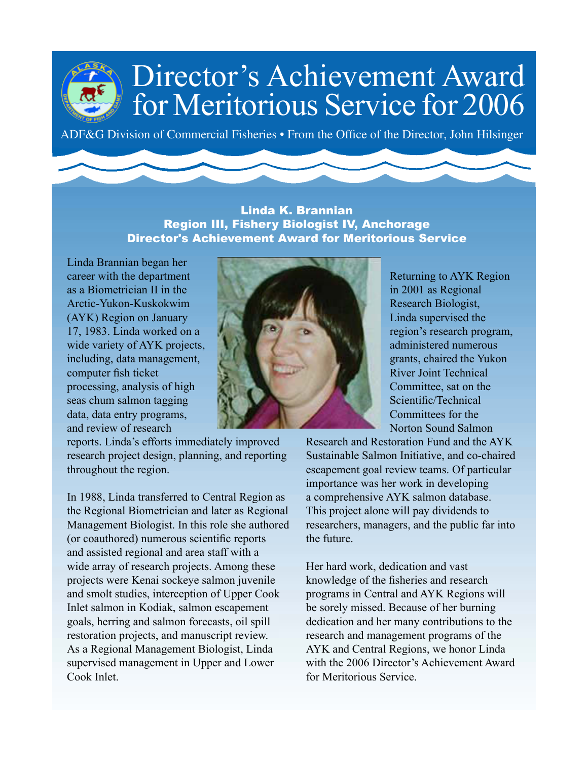### Director's Achievement Award for Meritorious Service for 2006

ADF&G Division of Commercial Fisheries • From the Office of the Director, John Hilsinger

#### Linda K. Brannian Region III, Fishery Biologist IV, Anchorage Director's Achievement Award for Meritorious Service

Linda Brannian began her career with the department as a Biometrician II in the Arctic-Yukon-Kuskokwim (AYK) Region on January 17, 1983. Linda worked on a wide variety of AYK projects, including, data management, computer fish ticket processing, analysis of high seas chum salmon tagging data, data entry programs, and review of research

reports. Linda's efforts immediately improved research project design, planning, and reporting throughout the region.

In 1988, Linda transferred to Central Region as the Regional Biometrician and later as Regional Management Biologist. In this role she authored (or coauthored) numerous scientific reports and assisted regional and area staff with a wide array of research projects. Among these projects were Kenai sockeye salmon juvenile and smolt studies, interception of Upper Cook Inlet salmon in Kodiak, salmon escapement goals, herring and salmon forecasts, oil spill restoration projects, and manuscript review. As a Regional Management Biologist, Linda supervised management in Upper and Lower Cook Inlet.



Returning to AYK Region in 2001 as Regional Research Biologist, Linda supervised the region's research program, administered numerous grants, chaired the Yukon River Joint Technical Committee, sat on the Scientific/Technical Committees for the Norton Sound Salmon

Research and Restoration Fund and the AYK Sustainable Salmon Initiative, and co-chaired escapement goal review teams. Of particular importance was her work in developing a comprehensive AYK salmon database. This project alone will pay dividends to researchers, managers, and the public far into the future.

Her hard work, dedication and vast knowledge of the fisheries and research programs in Central and AYK Regions will be sorely missed. Because of her burning dedication and her many contributions to the research and management programs of the AYK and Central Regions, we honor Linda with the 2006 Director's Achievement Award for Meritorious Service.